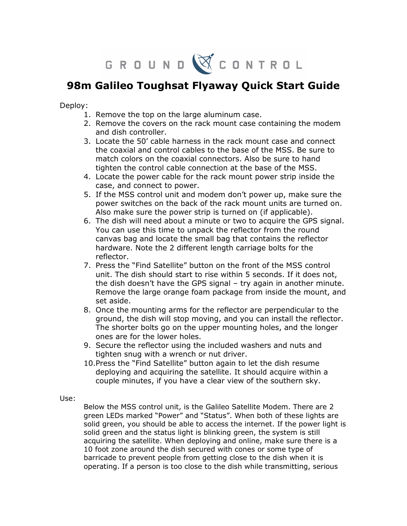G R O U N D W C O N T R O L

## 98m Galileo Toughsat Flyaway Quick Start Guide

Deploy:

- 1. Remove the top on the large aluminum case.
- 2. Remove the covers on the rack mount case containing the modem and dish controller.
- 3. Locate the 50' cable harness in the rack mount case and connect the coaxial and control cables to the base of the MSS. Be sure to match colors on the coaxial connectors. Also be sure to hand tighten the control cable connection at the base of the MSS.
- 4. Locate the power cable for the rack mount power strip inside the case, and connect to power.
- 5. If the MSS control unit and modem don't power up, make sure the power switches on the back of the rack mount units are turned on. Also make sure the power strip is turned on (if applicable).
- 6. The dish will need about a minute or two to acquire the GPS signal. You can use this time to unpack the reflector from the round canvas bag and locate the small bag that contains the reflector hardware. Note the 2 different length carriage bolts for the reflector.
- 7. Press the "Find Satellite" button on the front of the MSS control unit. The dish should start to rise within 5 seconds. If it does not, the dish doesn't have the GPS signal – try again in another minute. Remove the large orange foam package from inside the mount, and set aside.
- 8. Once the mounting arms for the reflector are perpendicular to the ground, the dish will stop moving, and you can install the reflector. The shorter bolts go on the upper mounting holes, and the longer ones are for the lower holes.
- 9. Secure the reflector using the included washers and nuts and tighten snug with a wrench or nut driver.
- 10.Press the "Find Satellite" button again to let the dish resume deploying and acquiring the satellite. It should acquire within a couple minutes, if you have a clear view of the southern sky.

Use:

Below the MSS control unit, is the Galileo Satellite Modem. There are 2 green LEDs marked "Power" and "Status". When both of these lights are solid green, you should be able to access the internet. If the power light is solid green and the status light is blinking green, the system is still acquiring the satellite. When deploying and online, make sure there is a 10 foot zone around the dish secured with cones or some type of barricade to prevent people from getting close to the dish when it is operating. If a person is too close to the dish while transmitting, serious